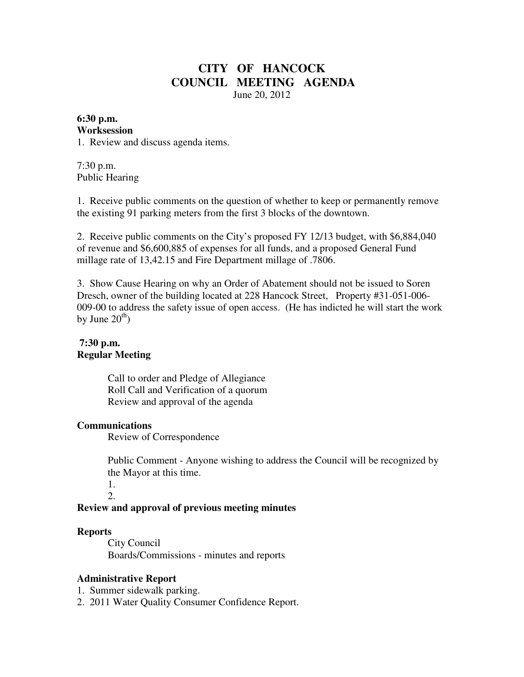# **CITY OF HANCOCK COUNCIL MEETING AGENDA**  June 20, 2012

#### **6:30 p.m. Worksession**

1. Review and discuss agenda items.

7:30 p.m. Public Hearing

1. Receive public comments on the question of whether to keep or permanently remove the existing 91 parking meters from the first 3 blocks of the downtown.

2. Receive public comments on the City's proposed FY 12/13 budget, with \$6,884,040 of revenue and \$6,600,885 of expenses for all funds, and a proposed General Fund millage rate of 13,42.15 and Fire Department millage of .7806.

3. Show Cause Hearing on why an Order of Abatement should not be issued to Soren Dresch, owner of the building located at 228 Hancock Street, Property #31-051-006- 009-00 to address the safety issue of open access. (He has indicted he will start the work by June  $20<sup>th</sup>$ )

#### **7:30 p.m. Regular Meeting**

 Call to order and Pledge of Allegiance Roll Call and Verification of a quorum Review and approval of the agenda

## **Communications**

Review of Correspondence

 Public Comment - Anyone wishing to address the Council will be recognized by the Mayor at this time.

 1. 2.

## **Review and approval of previous meeting minutes**

#### **Reports**

City Council Boards/Commissions - minutes and reports

## **Administrative Report**

1. Summer sidewalk parking.

2. 2011 Water Quality Consumer Confidence Report.